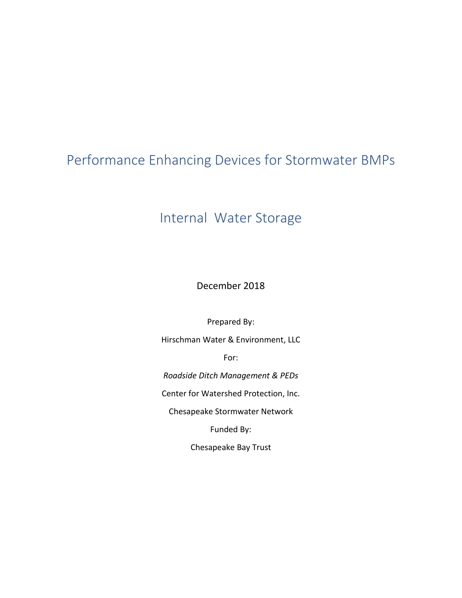# Performance Enhancing Devices for Stormwater BMPs

# Internal Water Storage

December 2018

Prepared By:

Hirschman Water & Environment, LLC

For:

*Roadside Ditch Management & PEDs*

Center for Watershed Protection, Inc.

Chesapeake Stormwater Network

Funded By:

Chesapeake Bay Trust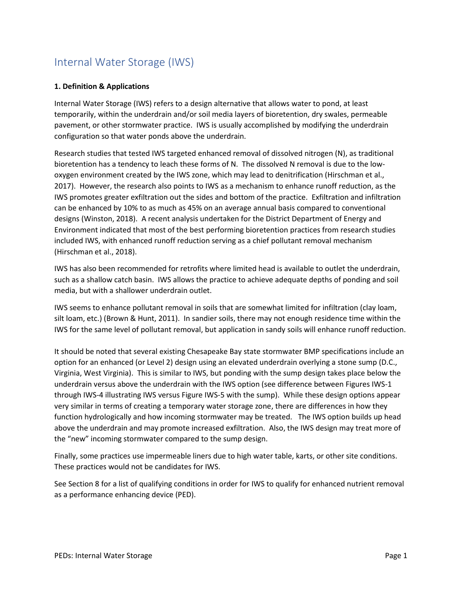## Internal Water Storage (IWS)

#### **1. Definition & Applications**

Internal Water Storage (IWS) refers to a design alternative that allows water to pond, at least temporarily, within the underdrain and/or soil media layers of bioretention, dry swales, permeable pavement, or other stormwater practice. IWS is usually accomplished by modifying the underdrain configuration so that water ponds above the underdrain.

Research studies that tested IWS targeted enhanced removal of dissolved nitrogen (N), as traditional bioretention has a tendency to leach these forms of N. The dissolved N removal is due to the lowoxygen environment created by the IWS zone, which may lead to denitrification (Hirschman et al., 2017). However, the research also points to IWS as a mechanism to enhance runoff reduction, as the IWS promotes greater exfiltration out the sides and bottom of the practice. Exfiltration and infiltration can be enhanced by 10% to as much as 45% on an average annual basis compared to conventional designs (Winston, 2018). A recent analysis undertaken for the District Department of Energy and Environment indicated that most of the best performing bioretention practices from research studies included IWS, with enhanced runoff reduction serving as a chief pollutant removal mechanism (Hirschman et al., 2018).

IWS has also been recommended for retrofits where limited head is available to outlet the underdrain, such as a shallow catch basin. IWS allows the practice to achieve adequate depths of ponding and soil media, but with a shallower underdrain outlet.

IWS seems to enhance pollutant removal in soils that are somewhat limited for infiltration (clay loam, silt loam, etc.) (Brown & Hunt, 2011). In sandier soils, there may not enough residence time within the IWS for the same level of pollutant removal, but application in sandy soils will enhance runoff reduction.

It should be noted that several existing Chesapeake Bay state stormwater BMP specifications include an option for an enhanced (or Level 2) design using an elevated underdrain overlying a stone sump (D.C., Virginia, West Virginia). This is similar to IWS, but ponding with the sump design takes place below the underdrain versus above the underdrain with the IWS option (see difference between Figures IWS-1 through IWS-4 illustrating IWS versus Figure IWS-5 with the sump). While these design options appear very similar in terms of creating a temporary water storage zone, there are differences in how they function hydrologically and how incoming stormwater may be treated. The IWS option builds up head above the underdrain and may promote increased exfiltration. Also, the IWS design may treat more of the "new" incoming stormwater compared to the sump design.

Finally, some practices use impermeable liners due to high water table, karts, or other site conditions. These practices would not be candidates for IWS.

See Section 8 for a list of qualifying conditions in order for IWS to qualify for enhanced nutrient removal as a performance enhancing device (PED).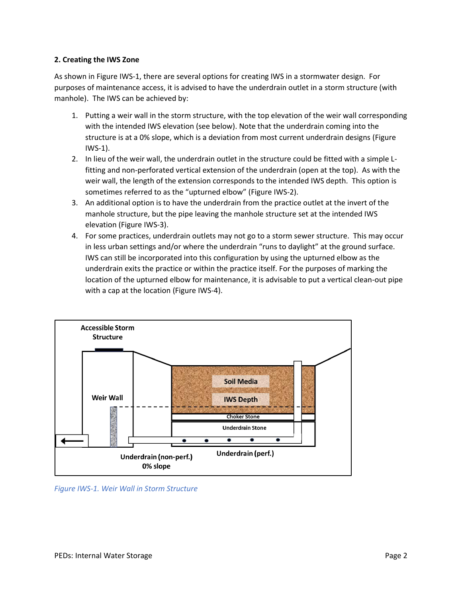#### **2. Creating the IWS Zone**

As shown in Figure IWS-1, there are several options for creating IWS in a stormwater design. For purposes of maintenance access, it is advised to have the underdrain outlet in a storm structure (with manhole). The IWS can be achieved by:

- 1. Putting a weir wall in the storm structure, with the top elevation of the weir wall corresponding with the intended IWS elevation (see below). Note that the underdrain coming into the structure is at a 0% slope, which is a deviation from most current underdrain designs (Figure IWS-1).
- 2. In lieu of the weir wall, the underdrain outlet in the structure could be fitted with a simple Lfitting and non-perforated vertical extension of the underdrain (open at the top). As with the weir wall, the length of the extension corresponds to the intended IWS depth. This option is sometimes referred to as the "upturned elbow" (Figure IWS-2).
- 3. An additional option is to have the underdrain from the practice outlet at the invert of the manhole structure, but the pipe leaving the manhole structure set at the intended IWS elevation (Figure IWS-3).
- 4. For some practices, underdrain outlets may not go to a storm sewer structure. This may occur in less urban settings and/or where the underdrain "runs to daylight" at the ground surface. IWS can still be incorporated into this configuration by using the upturned elbow as the underdrain exits the practice or within the practice itself. For the purposes of marking the location of the upturned elbow for maintenance, it is advisable to put a vertical clean-out pipe with a cap at the location (Figure IWS-4).



*Figure IWS-1. Weir Wall in Storm Structure*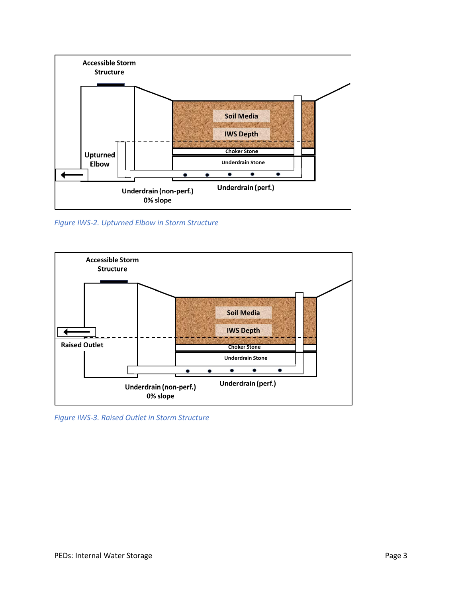

*Figure IWS-2. Upturned Elbow in Storm Structure*



*Figure IWS-3. Raised Outlet in Storm Structure*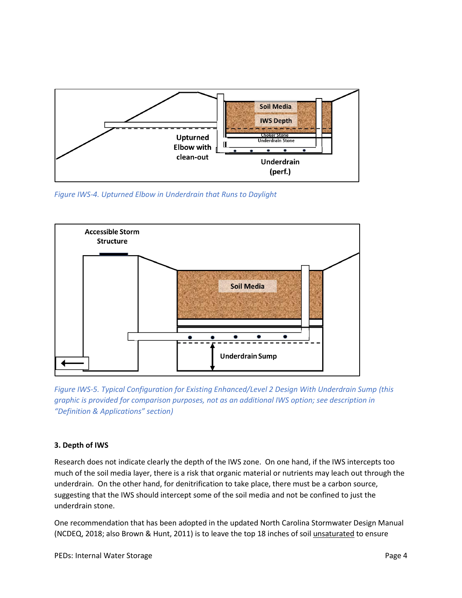

*Figure IWS-4. Upturned Elbow in Underdrain that Runs to Daylight*



*Figure IWS-5. Typical Configuration for Existing Enhanced/Level 2 Design With Underdrain Sump (this graphic is provided for comparison purposes, not as an additional IWS option; see description in "Definition & Applications" section)*

#### **3. Depth of IWS**

Research does not indicate clearly the depth of the IWS zone. On one hand, if the IWS intercepts too much of the soil media layer, there is a risk that organic material or nutrients may leach out through the underdrain. On the other hand, for denitrification to take place, there must be a carbon source, suggesting that the IWS should intercept some of the soil media and not be confined to just the underdrain stone.

One recommendation that has been adopted in the updated North Carolina Stormwater Design Manual (NCDEQ, 2018; also Brown & Hunt, 2011) is to leave the top 18 inches of soil unsaturated to ensure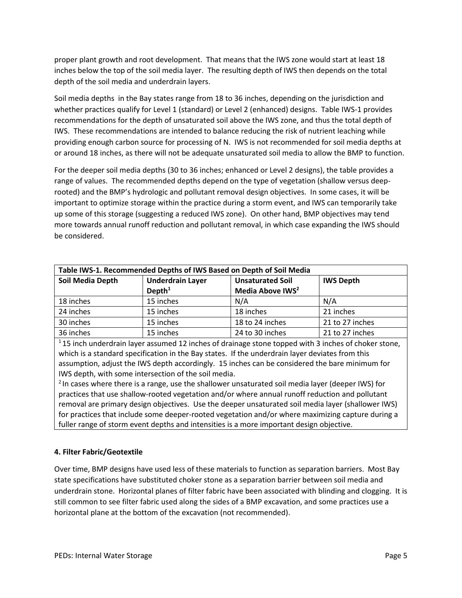proper plant growth and root development. That means that the IWS zone would start at least 18 inches below the top of the soil media layer. The resulting depth of IWS then depends on the total depth of the soil media and underdrain layers.

Soil media depths in the Bay states range from 18 to 36 inches, depending on the jurisdiction and whether practices qualify for Level 1 (standard) or Level 2 (enhanced) designs. Table IWS-1 provides recommendations for the depth of unsaturated soil above the IWS zone, and thus the total depth of IWS. These recommendations are intended to balance reducing the risk of nutrient leaching while providing enough carbon source for processing of N. IWS is not recommended for soil media depths at or around 18 inches, as there will not be adequate unsaturated soil media to allow the BMP to function.

For the deeper soil media depths (30 to 36 inches; enhanced or Level 2 designs), the table provides a range of values. The recommended depths depend on the type of vegetation (shallow versus deeprooted) and the BMP's hydrologic and pollutant removal design objectives. In some cases, it will be important to optimize storage within the practice during a storm event, and IWS can temporarily take up some of this storage (suggesting a reduced IWS zone). On other hand, BMP objectives may tend more towards annual runoff reduction and pollutant removal, in which case expanding the IWS should be considered.

| Table IWS-1. Recommended Depths of IWS Based on Depth of Soil Media |                                               |                                                         |                  |
|---------------------------------------------------------------------|-----------------------------------------------|---------------------------------------------------------|------------------|
| Soil Media Depth                                                    | <b>Underdrain Layer</b><br>Depth <sup>1</sup> | <b>Unsaturated Soil</b><br>Media Above IWS <sup>2</sup> | <b>IWS Depth</b> |
| 18 inches                                                           | 15 inches                                     | N/A                                                     | N/A              |
| 24 inches                                                           | 15 inches                                     | 18 inches                                               | 21 inches        |
| 30 inches                                                           | 15 inches                                     | 18 to 24 inches                                         | 21 to 27 inches  |
| 36 inches                                                           | 15 inches                                     | 24 to 30 inches                                         | 21 to 27 inches  |

 $115$  inch underdrain layer assumed 12 inches of drainage stone topped with 3 inches of choker stone, which is a standard specification in the Bay states. If the underdrain layer deviates from this assumption, adjust the IWS depth accordingly. 15 inches can be considered the bare minimum for IWS depth, with some intersection of the soil media.

<sup>2</sup> In cases where there is a range, use the shallower unsaturated soil media layer (deeper IWS) for practices that use shallow-rooted vegetation and/or where annual runoff reduction and pollutant removal are primary design objectives. Use the deeper unsaturated soil media layer (shallower IWS) for practices that include some deeper-rooted vegetation and/or where maximizing capture during a fuller range of storm event depths and intensities is a more important design objective.

### **4. Filter Fabric/Geotextile**

Over time, BMP designs have used less of these materials to function as separation barriers. Most Bay state specifications have substituted choker stone as a separation barrier between soil media and underdrain stone. Horizontal planes of filter fabric have been associated with blinding and clogging. It is still common to see filter fabric used along the sides of a BMP excavation, and some practices use a horizontal plane at the bottom of the excavation (not recommended).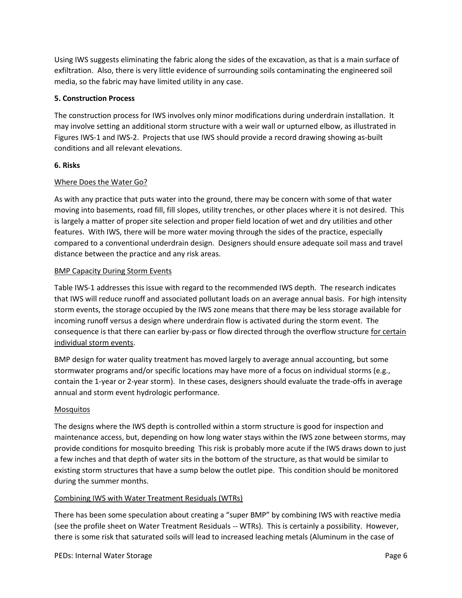Using IWS suggests eliminating the fabric along the sides of the excavation, as that is a main surface of exfiltration. Also, there is very little evidence of surrounding soils contaminating the engineered soil media, so the fabric may have limited utility in any case.

#### **5. Construction Process**

The construction process for IWS involves only minor modifications during underdrain installation. It may involve setting an additional storm structure with a weir wall or upturned elbow, as illustrated in Figures IWS-1 and IWS-2. Projects that use IWS should provide a record drawing showing as-built conditions and all relevant elevations.

#### **6. Risks**

#### Where Does the Water Go?

As with any practice that puts water into the ground, there may be concern with some of that water moving into basements, road fill, fill slopes, utility trenches, or other places where it is not desired. This is largely a matter of proper site selection and proper field location of wet and dry utilities and other features. With IWS, there will be more water moving through the sides of the practice, especially compared to a conventional underdrain design. Designers should ensure adequate soil mass and travel distance between the practice and any risk areas.

#### BMP Capacity During Storm Events

Table IWS-1 addresses this issue with regard to the recommended IWS depth. The research indicates that IWS will reduce runoff and associated pollutant loads on an average annual basis. For high intensity storm events, the storage occupied by the IWS zone means that there may be less storage available for incoming runoff versus a design where underdrain flow is activated during the storm event. The consequence is that there can earlier by-pass or flow directed through the overflow structure for certain individual storm events.

BMP design for water quality treatment has moved largely to average annual accounting, but some stormwater programs and/or specific locations may have more of a focus on individual storms (e.g., contain the 1-year or 2-year storm). In these cases, designers should evaluate the trade-offs in average annual and storm event hydrologic performance.

#### Mosquitos

The designs where the IWS depth is controlled within a storm structure is good for inspection and maintenance access, but, depending on how long water stays within the IWS zone between storms, may provide conditions for mosquito breeding This risk is probably more acute if the IWS draws down to just a few inches and that depth of water sits in the bottom of the structure, as that would be similar to existing storm structures that have a sump below the outlet pipe. This condition should be monitored during the summer months.

### Combining IWS with Water Treatment Residuals (WTRs)

There has been some speculation about creating a "super BMP" by combining IWS with reactive media (see the profile sheet on Water Treatment Residuals -- WTRs). This is certainly a possibility. However, there is some risk that saturated soils will lead to increased leaching metals (Aluminum in the case of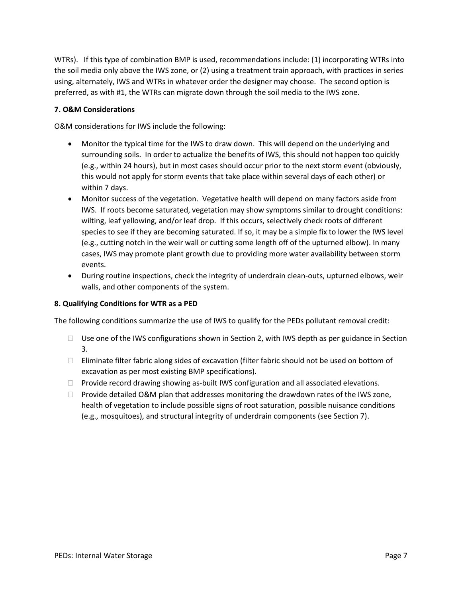WTRs). If this type of combination BMP is used, recommendations include: (1) incorporating WTRs into the soil media only above the IWS zone, or (2) using a treatment train approach, with practices in series using, alternately, IWS and WTRs in whatever order the designer may choose. The second option is preferred, as with #1, the WTRs can migrate down through the soil media to the IWS zone.

#### **7. O&M Considerations**

O&M considerations for IWS include the following:

- Monitor the typical time for the IWS to draw down. This will depend on the underlying and surrounding soils. In order to actualize the benefits of IWS, this should not happen too quickly (e.g., within 24 hours), but in most cases should occur prior to the next storm event (obviously, this would not apply for storm events that take place within several days of each other) or within 7 days.
- Monitor success of the vegetation. Vegetative health will depend on many factors aside from IWS. If roots become saturated, vegetation may show symptoms similar to drought conditions: wilting, leaf yellowing, and/or leaf drop. If this occurs, selectively check roots of different species to see if they are becoming saturated. If so, it may be a simple fix to lower the IWS level (e.g., cutting notch in the weir wall or cutting some length off of the upturned elbow). In many cases, IWS may promote plant growth due to providing more water availability between storm events.
- During routine inspections, check the integrity of underdrain clean-outs, upturned elbows, weir walls, and other components of the system.

#### **8. Qualifying Conditions for WTR as a PED**

The following conditions summarize the use of IWS to qualify for the PEDs pollutant removal credit:

- $\Box$  Use one of the IWS configurations shown in Section 2, with IWS depth as per guidance in Section 3.
- $\Box$  Eliminate filter fabric along sides of excavation (filter fabric should not be used on bottom of excavation as per most existing BMP specifications).
- $\Box$  Provide record drawing showing as-built IWS configuration and all associated elevations.
- $\Box$  Provide detailed O&M plan that addresses monitoring the drawdown rates of the IWS zone, health of vegetation to include possible signs of root saturation, possible nuisance conditions (e.g., mosquitoes), and structural integrity of underdrain components (see Section 7).